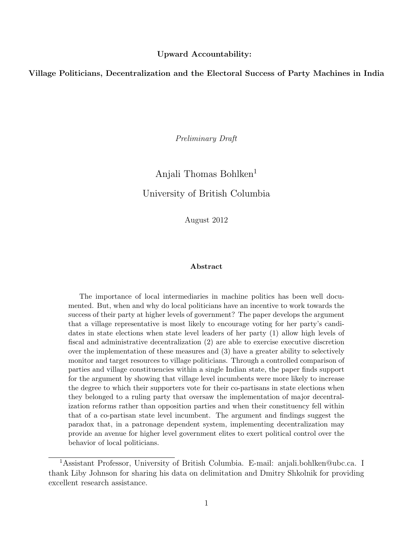#### Upward Accountability:

Village Politicians, Decentralization and the Electoral Success of Party Machines in India

Preliminary Draft

# Anjali Thomas Bohlken<sup>1</sup> University of British Columbia

August 2012

#### Abstract

The importance of local intermediaries in machine politics has been well documented. But, when and why do local politicians have an incentive to work towards the success of their party at higher levels of government? The paper develops the argument that a village representative is most likely to encourage voting for her party's candidates in state elections when state level leaders of her party (1) allow high levels of fiscal and administrative decentralization (2) are able to exercise executive discretion over the implementation of these measures and (3) have a greater ability to selectively monitor and target resources to village politicians. Through a controlled comparison of parties and village constituencies within a single Indian state, the paper finds support for the argument by showing that village level incumbents were more likely to increase the degree to which their supporters vote for their co-partisans in state elections when they belonged to a ruling party that oversaw the implementation of major decentralization reforms rather than opposition parties and when their constituency fell within that of a co-partisan state level incumbent. The argument and findings suggest the paradox that, in a patronage dependent system, implementing decentralization may provide an avenue for higher level government elites to exert political control over the behavior of local politicians.

<sup>1</sup>Assistant Professor, University of British Columbia. E-mail: anjali.bohlken@ubc.ca. I thank Liby Johnson for sharing his data on delimitation and Dmitry Shkolnik for providing excellent research assistance.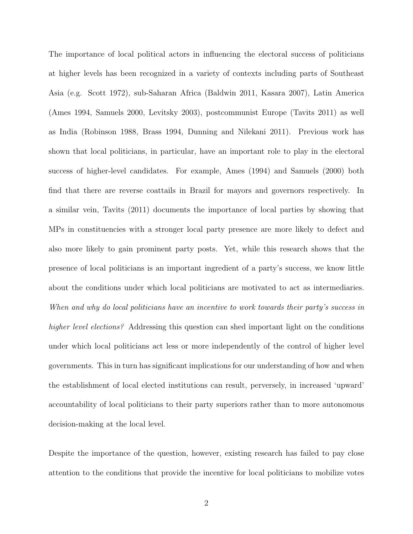The importance of local political actors in influencing the electoral success of politicians at higher levels has been recognized in a variety of contexts including parts of Southeast Asia (e.g. Scott 1972), sub-Saharan Africa (Baldwin 2011, Kasara 2007), Latin America (Ames 1994, Samuels 2000, Levitsky 2003), postcommunist Europe (Tavits 2011) as well as India (Robinson 1988, Brass 1994, Dunning and Nilekani 2011). Previous work has shown that local politicians, in particular, have an important role to play in the electoral success of higher-level candidates. For example, Ames (1994) and Samuels (2000) both find that there are reverse coattails in Brazil for mayors and governors respectively. In a similar vein, Tavits (2011) documents the importance of local parties by showing that MPs in constituencies with a stronger local party presence are more likely to defect and also more likely to gain prominent party posts. Yet, while this research shows that the presence of local politicians is an important ingredient of a party's success, we know little about the conditions under which local politicians are motivated to act as intermediaries. When and why do local politicians have an incentive to work towards their party's success in higher level elections? Addressing this question can shed important light on the conditions under which local politicians act less or more independently of the control of higher level governments. This in turn has significant implications for our understanding of how and when the establishment of local elected institutions can result, perversely, in increased 'upward' accountability of local politicians to their party superiors rather than to more autonomous decision-making at the local level.

Despite the importance of the question, however, existing research has failed to pay close attention to the conditions that provide the incentive for local politicians to mobilize votes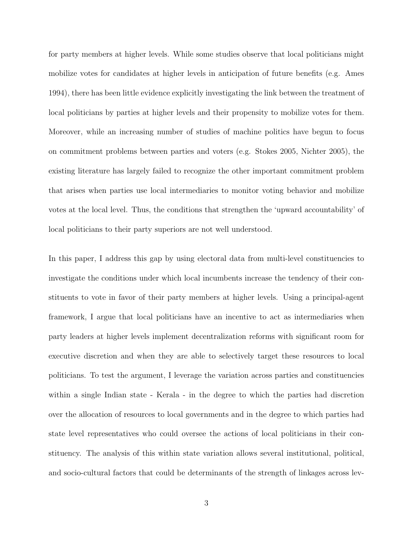for party members at higher levels. While some studies observe that local politicians might mobilize votes for candidates at higher levels in anticipation of future benefits (e.g. Ames 1994), there has been little evidence explicitly investigating the link between the treatment of local politicians by parties at higher levels and their propensity to mobilize votes for them. Moreover, while an increasing number of studies of machine politics have begun to focus on commitment problems between parties and voters (e.g. Stokes 2005, Nichter 2005), the existing literature has largely failed to recognize the other important commitment problem that arises when parties use local intermediaries to monitor voting behavior and mobilize votes at the local level. Thus, the conditions that strengthen the 'upward accountability' of local politicians to their party superiors are not well understood.

In this paper, I address this gap by using electoral data from multi-level constituencies to investigate the conditions under which local incumbents increase the tendency of their constituents to vote in favor of their party members at higher levels. Using a principal-agent framework, I argue that local politicians have an incentive to act as intermediaries when party leaders at higher levels implement decentralization reforms with significant room for executive discretion and when they are able to selectively target these resources to local politicians. To test the argument, I leverage the variation across parties and constituencies within a single Indian state - Kerala - in the degree to which the parties had discretion over the allocation of resources to local governments and in the degree to which parties had state level representatives who could oversee the actions of local politicians in their constituency. The analysis of this within state variation allows several institutional, political, and socio-cultural factors that could be determinants of the strength of linkages across lev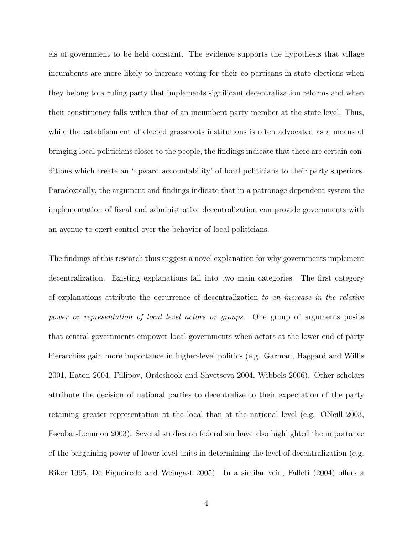els of government to be held constant. The evidence supports the hypothesis that village incumbents are more likely to increase voting for their co-partisans in state elections when they belong to a ruling party that implements significant decentralization reforms and when their constituency falls within that of an incumbent party member at the state level. Thus, while the establishment of elected grassroots institutions is often advocated as a means of bringing local politicians closer to the people, the findings indicate that there are certain conditions which create an 'upward accountability' of local politicians to their party superiors. Paradoxically, the argument and findings indicate that in a patronage dependent system the implementation of fiscal and administrative decentralization can provide governments with an avenue to exert control over the behavior of local politicians.

The findings of this research thus suggest a novel explanation for why governments implement decentralization. Existing explanations fall into two main categories. The first category of explanations attribute the occurrence of decentralization to an increase in the relative power or representation of local level actors or groups. One group of arguments posits that central governments empower local governments when actors at the lower end of party hierarchies gain more importance in higher-level politics (e.g. Garman, Haggard and Willis 2001, Eaton 2004, Fillipov, Ordeshook and Shvetsova 2004, Wibbels 2006). Other scholars attribute the decision of national parties to decentralize to their expectation of the party retaining greater representation at the local than at the national level (e.g. ONeill 2003, Escobar-Lemmon 2003). Several studies on federalism have also highlighted the importance of the bargaining power of lower-level units in determining the level of decentralization (e.g. Riker 1965, De Figueiredo and Weingast 2005). In a similar vein, Falleti (2004) offers a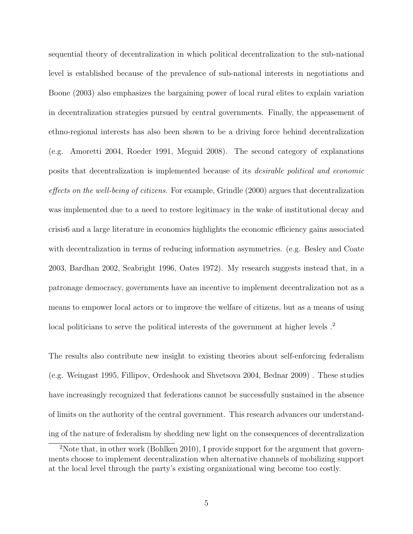sequential theory of decentralization in which political decentralization to the sub-national level is established because of the prevalence of sub-national interests in negotiations and Boone (2003) also emphasizes the bargaining power of local rural elites to explain variation in decentralization strategies pursued by central governments. Finally, the appeasement of ethno-regional interests has also been shown to be a driving force behind decentralization (e.g. Amoretti 2004, Roeder 1991, Meguid 2008). The second category of explanations posits that decentralization is implemented because of its desirable political and economic effects on the well-being of citizens. For example, Grindle (2000) argues that decentralization was implemented due to a need to restore legitimacy in the wake of institutional decay and crisis6 and a large literature in economics highlights the economic efficiency gains associated with decentralization in terms of reducing information asymmetries. (e.g. Besley and Coate 2003, Bardhan 2002, Seabright 1996, Oates 1972). My research suggests instead that, in a patronage democracy, governments have an incentive to implement decentralization not as a means to empower local actors or to improve the welfare of citizens, but as a means of using local politicians to serve the political interests of the government at higher levels  $.2$ 

The results also contribute new insight to existing theories about self-enforcing federalism (e.g. Weingast 1995, Fillipov, Ordeshook and Shvetsova 2004, Bednar 2009) . These studies have increasingly recognized that federations cannot be successfully sustained in the absence of limits on the authority of the central government. This research advances our understanding of the nature of federalism by shedding new light on the consequences of decentralization

<sup>&</sup>lt;sup>2</sup>Note that, in other work (Bohlken 2010), I provide support for the argument that governments choose to implement decentralization when alternative channels of mobilizing support at the local level through the party's existing organizational wing become too costly.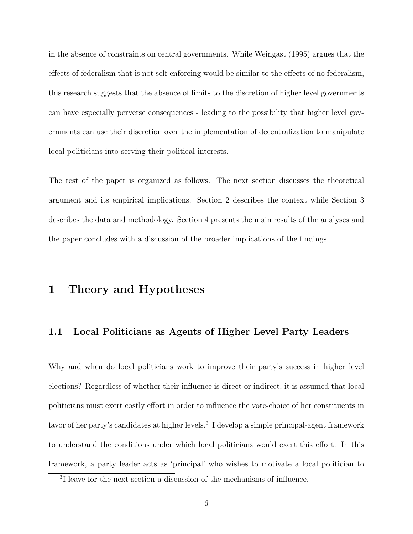in the absence of constraints on central governments. While Weingast (1995) argues that the effects of federalism that is not self-enforcing would be similar to the effects of no federalism, this research suggests that the absence of limits to the discretion of higher level governments can have especially perverse consequences - leading to the possibility that higher level governments can use their discretion over the implementation of decentralization to manipulate local politicians into serving their political interests.

The rest of the paper is organized as follows. The next section discusses the theoretical argument and its empirical implications. Section 2 describes the context while Section 3 describes the data and methodology. Section 4 presents the main results of the analyses and the paper concludes with a discussion of the broader implications of the findings.

### 1 Theory and Hypotheses

#### 1.1 Local Politicians as Agents of Higher Level Party Leaders

Why and when do local politicians work to improve their party's success in higher level elections? Regardless of whether their influence is direct or indirect, it is assumed that local politicians must exert costly effort in order to influence the vote-choice of her constituents in favor of her party's candidates at higher levels.<sup>3</sup> I develop a simple principal-agent framework to understand the conditions under which local politicians would exert this effort. In this framework, a party leader acts as 'principal' who wishes to motivate a local politician to

<sup>&</sup>lt;sup>3</sup>I leave for the next section a discussion of the mechanisms of influence.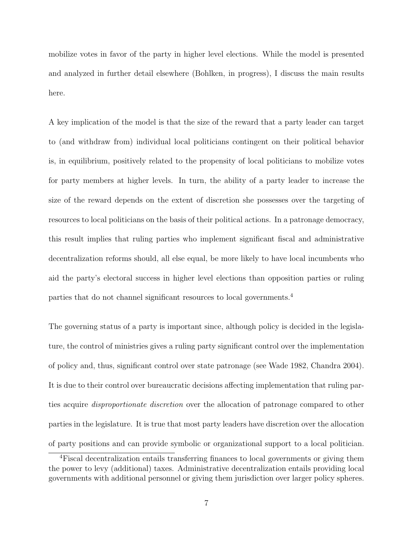mobilize votes in favor of the party in higher level elections. While the model is presented and analyzed in further detail elsewhere (Bohlken, in progress), I discuss the main results here.

A key implication of the model is that the size of the reward that a party leader can target to (and withdraw from) individual local politicians contingent on their political behavior is, in equilibrium, positively related to the propensity of local politicians to mobilize votes for party members at higher levels. In turn, the ability of a party leader to increase the size of the reward depends on the extent of discretion she possesses over the targeting of resources to local politicians on the basis of their political actions. In a patronage democracy, this result implies that ruling parties who implement significant fiscal and administrative decentralization reforms should, all else equal, be more likely to have local incumbents who aid the party's electoral success in higher level elections than opposition parties or ruling parties that do not channel significant resources to local governments.<sup>4</sup>

The governing status of a party is important since, although policy is decided in the legislature, the control of ministries gives a ruling party significant control over the implementation of policy and, thus, significant control over state patronage (see Wade 1982, Chandra 2004). It is due to their control over bureaucratic decisions affecting implementation that ruling parties acquire disproportionate discretion over the allocation of patronage compared to other parties in the legislature. It is true that most party leaders have discretion over the allocation of party positions and can provide symbolic or organizational support to a local politician.

<sup>4</sup>Fiscal decentralization entails transferring finances to local governments or giving them the power to levy (additional) taxes. Administrative decentralization entails providing local governments with additional personnel or giving them jurisdiction over larger policy spheres.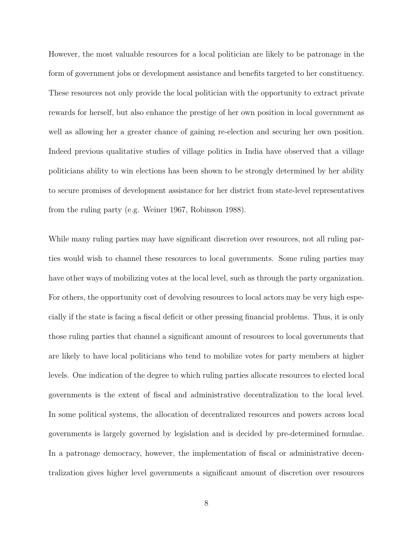However, the most valuable resources for a local politician are likely to be patronage in the form of government jobs or development assistance and benefits targeted to her constituency. These resources not only provide the local politician with the opportunity to extract private rewards for herself, but also enhance the prestige of her own position in local government as well as allowing her a greater chance of gaining re-election and securing her own position. Indeed previous qualitative studies of village politics in India have observed that a village politicians ability to win elections has been shown to be strongly determined by her ability to secure promises of development assistance for her district from state-level representatives from the ruling party (e.g. Weiner 1967, Robinson 1988).

While many ruling parties may have significant discretion over resources, not all ruling parties would wish to channel these resources to local governments. Some ruling parties may have other ways of mobilizing votes at the local level, such as through the party organization. For others, the opportunity cost of devolving resources to local actors may be very high especially if the state is facing a fiscal deficit or other pressing financial problems. Thus, it is only those ruling parties that channel a significant amount of resources to local governments that are likely to have local politicians who tend to mobilize votes for party members at higher levels. One indication of the degree to which ruling parties allocate resources to elected local governments is the extent of fiscal and administrative decentralization to the local level. In some political systems, the allocation of decentralized resources and powers across local governments is largely governed by legislation and is decided by pre-determined formulae. In a patronage democracy, however, the implementation of fiscal or administrative decentralization gives higher level governments a significant amount of discretion over resources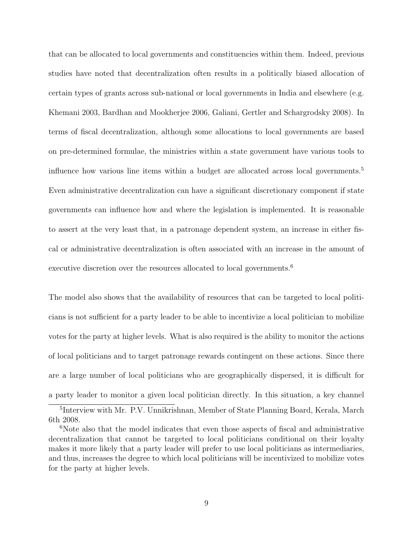that can be allocated to local governments and constituencies within them. Indeed, previous studies have noted that decentralization often results in a politically biased allocation of certain types of grants across sub-national or local governments in India and elsewhere (e.g. Khemani 2003, Bardhan and Mookherjee 2006, Galiani, Gertler and Schargrodsky 2008). In terms of fiscal decentralization, although some allocations to local governments are based on pre-determined formulae, the ministries within a state government have various tools to influence how various line items within a budget are allocated across local governments.<sup>5</sup> Even administrative decentralization can have a significant discretionary component if state governments can influence how and where the legislation is implemented. It is reasonable to assert at the very least that, in a patronage dependent system, an increase in either fiscal or administrative decentralization is often associated with an increase in the amount of executive discretion over the resources allocated to local governments.<sup>6</sup>

The model also shows that the availability of resources that can be targeted to local politicians is not sufficient for a party leader to be able to incentivize a local politician to mobilize votes for the party at higher levels. What is also required is the ability to monitor the actions of local politicians and to target patronage rewards contingent on these actions. Since there are a large number of local politicians who are geographically dispersed, it is difficult for a party leader to monitor a given local politician directly. In this situation, a key channel

<sup>5</sup> Interview with Mr. P.V. Unnikrishnan, Member of State Planning Board, Kerala, March 6th 2008.

<sup>&</sup>lt;sup>6</sup>Note also that the model indicates that even those aspects of fiscal and administrative decentralization that cannot be targeted to local politicians conditional on their loyalty makes it more likely that a party leader will prefer to use local politicians as intermediaries, and thus, increases the degree to which local politicians will be incentivized to mobilize votes for the party at higher levels.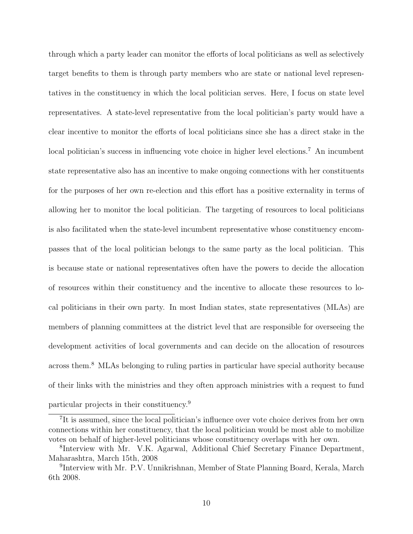through which a party leader can monitor the efforts of local politicians as well as selectively target benefits to them is through party members who are state or national level representatives in the constituency in which the local politician serves. Here, I focus on state level representatives. A state-level representative from the local politician's party would have a clear incentive to monitor the efforts of local politicians since she has a direct stake in the local politician's success in influencing vote choice in higher level elections.<sup>7</sup> An incumbent state representative also has an incentive to make ongoing connections with her constituents for the purposes of her own re-election and this effort has a positive externality in terms of allowing her to monitor the local politician. The targeting of resources to local politicians is also facilitated when the state-level incumbent representative whose constituency encompasses that of the local politician belongs to the same party as the local politician. This is because state or national representatives often have the powers to decide the allocation of resources within their constituency and the incentive to allocate these resources to local politicians in their own party. In most Indian states, state representatives (MLAs) are members of planning committees at the district level that are responsible for overseeing the development activities of local governments and can decide on the allocation of resources across them.<sup>8</sup> MLAs belonging to ruling parties in particular have special authority because of their links with the ministries and they often approach ministries with a request to fund particular projects in their constituency.<sup>9</sup>

<sup>&</sup>lt;sup>7</sup>It is assumed, since the local politician's influence over vote choice derives from her own connections within her constituency, that the local politician would be most able to mobilize votes on behalf of higher-level politicians whose constituency overlaps with her own.

<sup>8</sup> Interview with Mr. V.K. Agarwal, Additional Chief Secretary Finance Department, Maharashtra, March 15th, 2008

<sup>&</sup>lt;sup>9</sup>Interview with Mr. P.V. Unnikrishnan, Member of State Planning Board, Kerala, March 6th 2008.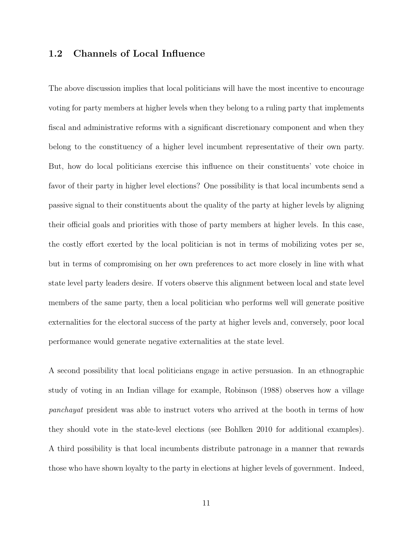#### 1.2 Channels of Local Influence

The above discussion implies that local politicians will have the most incentive to encourage voting for party members at higher levels when they belong to a ruling party that implements fiscal and administrative reforms with a significant discretionary component and when they belong to the constituency of a higher level incumbent representative of their own party. But, how do local politicians exercise this influence on their constituents' vote choice in favor of their party in higher level elections? One possibility is that local incumbents send a passive signal to their constituents about the quality of the party at higher levels by aligning their official goals and priorities with those of party members at higher levels. In this case, the costly effort exerted by the local politician is not in terms of mobilizing votes per se, but in terms of compromising on her own preferences to act more closely in line with what state level party leaders desire. If voters observe this alignment between local and state level members of the same party, then a local politician who performs well will generate positive externalities for the electoral success of the party at higher levels and, conversely, poor local performance would generate negative externalities at the state level.

A second possibility that local politicians engage in active persuasion. In an ethnographic study of voting in an Indian village for example, Robinson (1988) observes how a village panchayat president was able to instruct voters who arrived at the booth in terms of how they should vote in the state-level elections (see Bohlken 2010 for additional examples). A third possibility is that local incumbents distribute patronage in a manner that rewards those who have shown loyalty to the party in elections at higher levels of government. Indeed,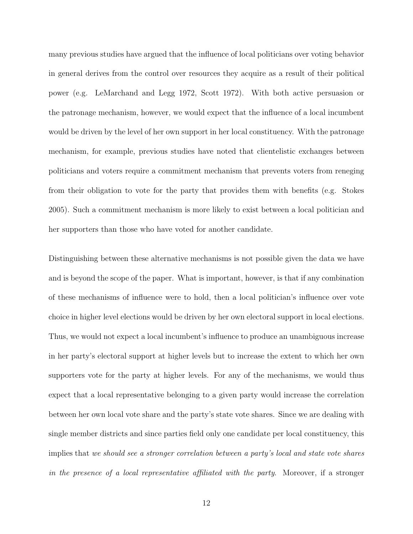many previous studies have argued that the influence of local politicians over voting behavior in general derives from the control over resources they acquire as a result of their political power (e.g. LeMarchand and Legg 1972, Scott 1972). With both active persuasion or the patronage mechanism, however, we would expect that the influence of a local incumbent would be driven by the level of her own support in her local constituency. With the patronage mechanism, for example, previous studies have noted that clientelistic exchanges between politicians and voters require a commitment mechanism that prevents voters from reneging from their obligation to vote for the party that provides them with benefits (e.g. Stokes 2005). Such a commitment mechanism is more likely to exist between a local politician and her supporters than those who have voted for another candidate.

Distinguishing between these alternative mechanisms is not possible given the data we have and is beyond the scope of the paper. What is important, however, is that if any combination of these mechanisms of influence were to hold, then a local politician's influence over vote choice in higher level elections would be driven by her own electoral support in local elections. Thus, we would not expect a local incumbent's influence to produce an unambiguous increase in her party's electoral support at higher levels but to increase the extent to which her own supporters vote for the party at higher levels. For any of the mechanisms, we would thus expect that a local representative belonging to a given party would increase the correlation between her own local vote share and the party's state vote shares. Since we are dealing with single member districts and since parties field only one candidate per local constituency, this implies that we should see a stronger correlation between a party's local and state vote shares in the presence of a local representative affiliated with the party. Moreover, if a stronger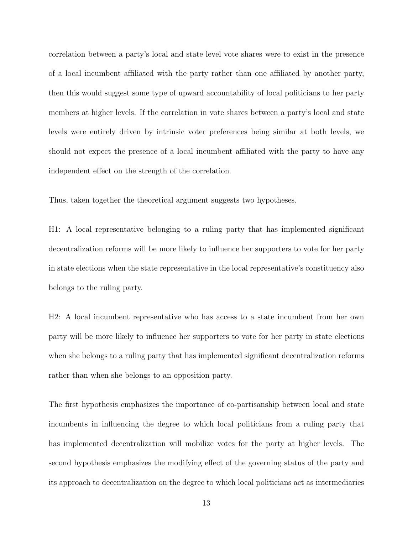correlation between a party's local and state level vote shares were to exist in the presence of a local incumbent affiliated with the party rather than one affiliated by another party, then this would suggest some type of upward accountability of local politicians to her party members at higher levels. If the correlation in vote shares between a party's local and state levels were entirely driven by intrinsic voter preferences being similar at both levels, we should not expect the presence of a local incumbent affiliated with the party to have any independent effect on the strength of the correlation.

Thus, taken together the theoretical argument suggests two hypotheses.

H1: A local representative belonging to a ruling party that has implemented significant decentralization reforms will be more likely to influence her supporters to vote for her party in state elections when the state representative in the local representative's constituency also belongs to the ruling party.

H2: A local incumbent representative who has access to a state incumbent from her own party will be more likely to influence her supporters to vote for her party in state elections when she belongs to a ruling party that has implemented significant decentralization reforms rather than when she belongs to an opposition party.

The first hypothesis emphasizes the importance of co-partisanship between local and state incumbents in influencing the degree to which local politicians from a ruling party that has implemented decentralization will mobilize votes for the party at higher levels. The second hypothesis emphasizes the modifying effect of the governing status of the party and its approach to decentralization on the degree to which local politicians act as intermediaries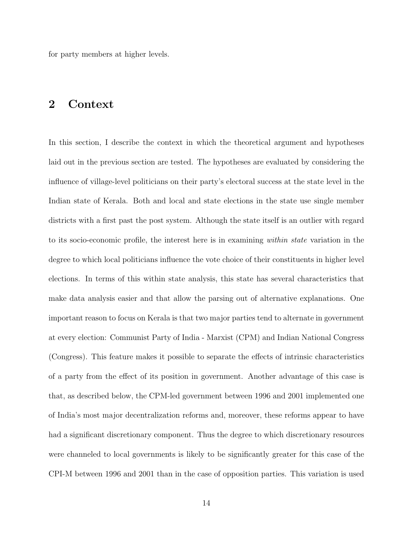for party members at higher levels.

### 2 Context

In this section, I describe the context in which the theoretical argument and hypotheses laid out in the previous section are tested. The hypotheses are evaluated by considering the influence of village-level politicians on their party's electoral success at the state level in the Indian state of Kerala. Both and local and state elections in the state use single member districts with a first past the post system. Although the state itself is an outlier with regard to its socio-economic profile, the interest here is in examining within state variation in the degree to which local politicians influence the vote choice of their constituents in higher level elections. In terms of this within state analysis, this state has several characteristics that make data analysis easier and that allow the parsing out of alternative explanations. One important reason to focus on Kerala is that two major parties tend to alternate in government at every election: Communist Party of India - Marxist (CPM) and Indian National Congress (Congress). This feature makes it possible to separate the effects of intrinsic characteristics of a party from the effect of its position in government. Another advantage of this case is that, as described below, the CPM-led government between 1996 and 2001 implemented one of India's most major decentralization reforms and, moreover, these reforms appear to have had a significant discretionary component. Thus the degree to which discretionary resources were channeled to local governments is likely to be significantly greater for this case of the CPI-M between 1996 and 2001 than in the case of opposition parties. This variation is used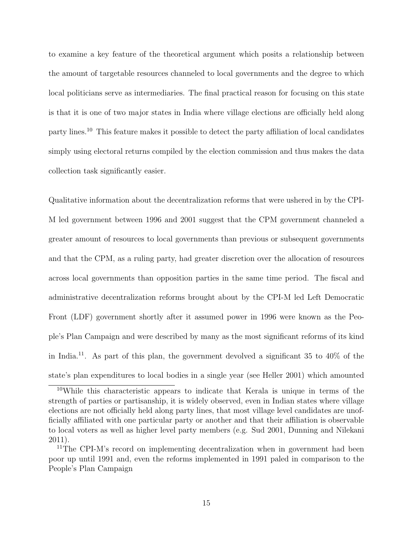to examine a key feature of the theoretical argument which posits a relationship between the amount of targetable resources channeled to local governments and the degree to which local politicians serve as intermediaries. The final practical reason for focusing on this state is that it is one of two major states in India where village elections are officially held along party lines.<sup>10</sup> This feature makes it possible to detect the party affiliation of local candidates simply using electoral returns compiled by the election commission and thus makes the data collection task significantly easier.

Qualitative information about the decentralization reforms that were ushered in by the CPI-M led government between 1996 and 2001 suggest that the CPM government channeled a greater amount of resources to local governments than previous or subsequent governments and that the CPM, as a ruling party, had greater discretion over the allocation of resources across local governments than opposition parties in the same time period. The fiscal and administrative decentralization reforms brought about by the CPI-M led Left Democratic Front (LDF) government shortly after it assumed power in 1996 were known as the People's Plan Campaign and were described by many as the most significant reforms of its kind in India.<sup>11</sup>. As part of this plan, the government devolved a significant  $35$  to  $40\%$  of the state's plan expenditures to local bodies in a single year (see Heller 2001) which amounted

<sup>10</sup>While this characteristic appears to indicate that Kerala is unique in terms of the strength of parties or partisanship, it is widely observed, even in Indian states where village elections are not officially held along party lines, that most village level candidates are unofficially affiliated with one particular party or another and that their affiliation is observable to local voters as well as higher level party members (e.g. Sud 2001, Dunning and Nilekani 2011).

<sup>&</sup>lt;sup>11</sup>The CPI-M's record on implementing decentralization when in government had been poor up until 1991 and, even the reforms implemented in 1991 paled in comparison to the People's Plan Campaign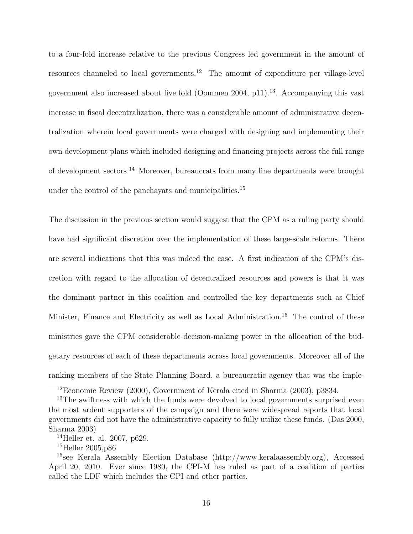to a four-fold increase relative to the previous Congress led government in the amount of resources channeled to local governments.<sup>12</sup> The amount of expenditure per village-level government also increased about five fold (Oommen 2004, p11).<sup>13</sup>. Accompanying this vast increase in fiscal decentralization, there was a considerable amount of administrative decentralization wherein local governments were charged with designing and implementing their own development plans which included designing and financing projects across the full range of development sectors.<sup>14</sup> Moreover, bureaucrats from many line departments were brought under the control of the panchayats and municipalities.<sup>15</sup>

The discussion in the previous section would suggest that the CPM as a ruling party should have had significant discretion over the implementation of these large-scale reforms. There are several indications that this was indeed the case. A first indication of the CPM's discretion with regard to the allocation of decentralized resources and powers is that it was the dominant partner in this coalition and controlled the key departments such as Chief Minister, Finance and Electricity as well as Local Administration.<sup>16</sup> The control of these ministries gave the CPM considerable decision-making power in the allocation of the budgetary resources of each of these departments across local governments. Moreover all of the ranking members of the State Planning Board, a bureaucratic agency that was the imple-

<sup>12</sup>Economic Review (2000), Government of Kerala cited in Sharma (2003), p3834.

<sup>&</sup>lt;sup>13</sup>The swiftness with which the funds were devolved to local governments surprised even the most ardent supporters of the campaign and there were widespread reports that local governments did not have the administrative capacity to fully utilize these funds. (Das 2000, Sharma 2003)

<sup>14</sup>Heller et. al. 2007, p629.

<sup>15</sup>Heller 2005,p86

<sup>&</sup>lt;sup>16</sup>see Kerala Assembly Election Database (http://www.keralaassembly.org), Accessed April 20, 2010. Ever since 1980, the CPI-M has ruled as part of a coalition of parties called the LDF which includes the CPI and other parties.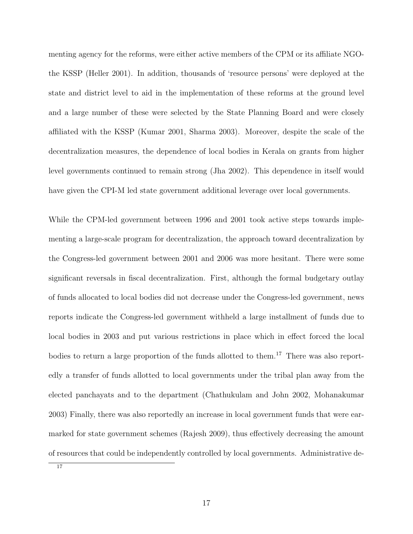menting agency for the reforms, were either active members of the CPM or its affiliate NGOthe KSSP (Heller 2001). In addition, thousands of 'resource persons' were deployed at the state and district level to aid in the implementation of these reforms at the ground level and a large number of these were selected by the State Planning Board and were closely affiliated with the KSSP (Kumar 2001, Sharma 2003). Moreover, despite the scale of the decentralization measures, the dependence of local bodies in Kerala on grants from higher level governments continued to remain strong (Jha 2002). This dependence in itself would have given the CPI-M led state government additional leverage over local governments.

While the CPM-led government between 1996 and 2001 took active steps towards implementing a large-scale program for decentralization, the approach toward decentralization by the Congress-led government between 2001 and 2006 was more hesitant. There were some significant reversals in fiscal decentralization. First, although the formal budgetary outlay of funds allocated to local bodies did not decrease under the Congress-led government, news reports indicate the Congress-led government withheld a large installment of funds due to local bodies in 2003 and put various restrictions in place which in effect forced the local bodies to return a large proportion of the funds allotted to them.<sup>17</sup> There was also reportedly a transfer of funds allotted to local governments under the tribal plan away from the elected panchayats and to the department (Chathukulam and John 2002, Mohanakumar 2003) Finally, there was also reportedly an increase in local government funds that were earmarked for state government schemes (Rajesh 2009), thus effectively decreasing the amount of resources that could be independently controlled by local governments. Administrative de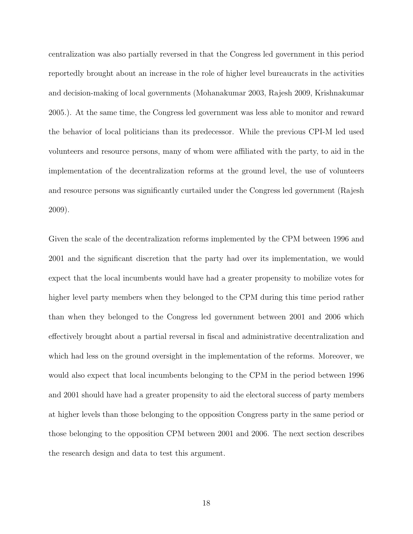centralization was also partially reversed in that the Congress led government in this period reportedly brought about an increase in the role of higher level bureaucrats in the activities and decision-making of local governments (Mohanakumar 2003, Rajesh 2009, Krishnakumar 2005.). At the same time, the Congress led government was less able to monitor and reward the behavior of local politicians than its predecessor. While the previous CPI-M led used volunteers and resource persons, many of whom were affiliated with the party, to aid in the implementation of the decentralization reforms at the ground level, the use of volunteers and resource persons was significantly curtailed under the Congress led government (Rajesh 2009).

Given the scale of the decentralization reforms implemented by the CPM between 1996 and 2001 and the significant discretion that the party had over its implementation, we would expect that the local incumbents would have had a greater propensity to mobilize votes for higher level party members when they belonged to the CPM during this time period rather than when they belonged to the Congress led government between 2001 and 2006 which effectively brought about a partial reversal in fiscal and administrative decentralization and which had less on the ground oversight in the implementation of the reforms. Moreover, we would also expect that local incumbents belonging to the CPM in the period between 1996 and 2001 should have had a greater propensity to aid the electoral success of party members at higher levels than those belonging to the opposition Congress party in the same period or those belonging to the opposition CPM between 2001 and 2006. The next section describes the research design and data to test this argument.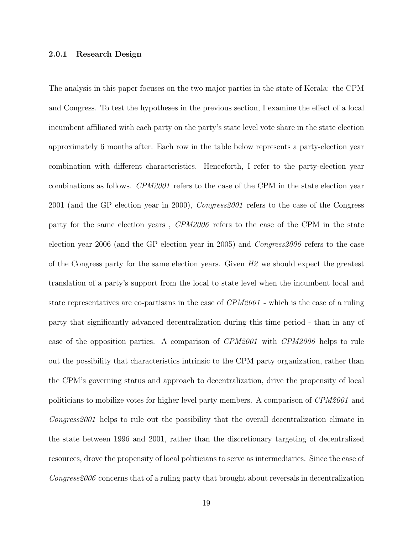#### 2.0.1 Research Design

The analysis in this paper focuses on the two major parties in the state of Kerala: the CPM and Congress. To test the hypotheses in the previous section, I examine the effect of a local incumbent affiliated with each party on the party's state level vote share in the state election approximately 6 months after. Each row in the table below represents a party-election year combination with different characteristics. Henceforth, I refer to the party-election year combinations as follows. CPM2001 refers to the case of the CPM in the state election year 2001 (and the GP election year in 2000), Congress2001 refers to the case of the Congress party for the same election years , CPM2006 refers to the case of the CPM in the state election year 2006 (and the GP election year in 2005) and Congress2006 refers to the case of the Congress party for the same election years. Given  $H2$  we should expect the greatest translation of a party's support from the local to state level when the incumbent local and state representatives are co-partisans in the case of CPM2001 - which is the case of a ruling party that significantly advanced decentralization during this time period - than in any of case of the opposition parties. A comparison of CPM2001 with CPM2006 helps to rule out the possibility that characteristics intrinsic to the CPM party organization, rather than the CPM's governing status and approach to decentralization, drive the propensity of local politicians to mobilize votes for higher level party members. A comparison of CPM2001 and Congress2001 helps to rule out the possibility that the overall decentralization climate in the state between 1996 and 2001, rather than the discretionary targeting of decentralized resources, drove the propensity of local politicians to serve as intermediaries. Since the case of Congress 2006 concerns that of a ruling party that brought about reversals in decentralization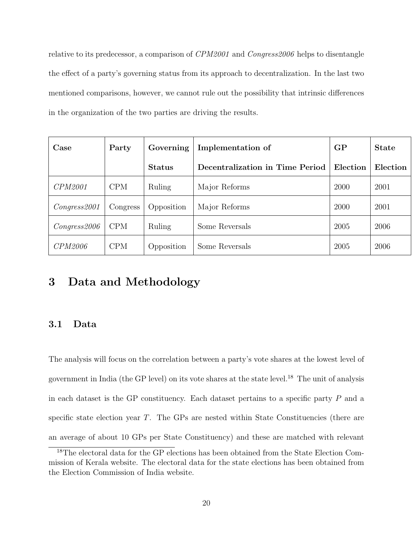relative to its predecessor, a comparison of CPM2001 and Congress2006 helps to disentangle the effect of a party's governing status from its approach to decentralization. In the last two mentioned comparisons, however, we cannot rule out the possibility that intrinsic differences in the organization of the two parties are driving the results.

| Case           | Party      | Governing     | Implementation of               | GP       | <b>State</b> |
|----------------|------------|---------------|---------------------------------|----------|--------------|
|                |            | <b>Status</b> | Decentralization in Time Period | Election | Election     |
| <i>CPM2001</i> | <b>CPM</b> | Ruling        | Major Reforms                   | 2000     | 2001         |
| Congress 2001  | Congress   | Opposition    | Major Reforms                   | 2000     | 2001         |
| Congress 2006  | <b>CPM</b> | Ruling        | Some Reversals                  | 2005     | 2006         |
| CPM2006        | <b>CPM</b> | Opposition    | Some Reversals                  | 2005     | 2006         |

### 3 Data and Methodology

#### 3.1 Data

The analysis will focus on the correlation between a party's vote shares at the lowest level of government in India (the GP level) on its vote shares at the state level.<sup>18</sup> The unit of analysis in each dataset is the GP constituency. Each dataset pertains to a specific party  $P$  and a specific state election year  $T$ . The GPs are nested within State Constituencies (there are an average of about 10 GPs per State Constituency) and these are matched with relevant

<sup>18</sup>The electoral data for the GP elections has been obtained from the State Election Commission of Kerala website. The electoral data for the state elections has been obtained from the Election Commission of India website.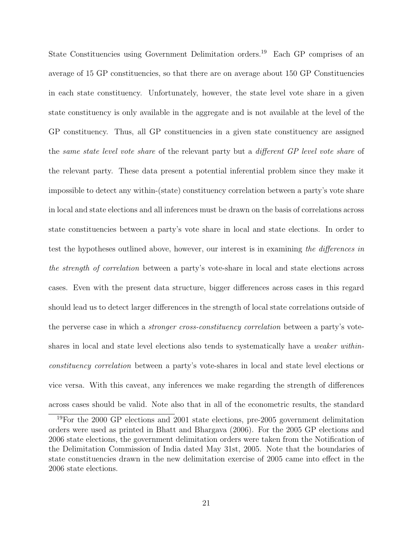State Constituencies using Government Delimitation orders.<sup>19</sup> Each GP comprises of an average of 15 GP constituencies, so that there are on average about 150 GP Constituencies in each state constituency. Unfortunately, however, the state level vote share in a given state constituency is only available in the aggregate and is not available at the level of the GP constituency. Thus, all GP constituencies in a given state constituency are assigned the same state level vote share of the relevant party but a different GP level vote share of the relevant party. These data present a potential inferential problem since they make it impossible to detect any within-(state) constituency correlation between a party's vote share in local and state elections and all inferences must be drawn on the basis of correlations across state constituencies between a party's vote share in local and state elections. In order to test the hypotheses outlined above, however, our interest is in examining the differences in the strength of correlation between a party's vote-share in local and state elections across cases. Even with the present data structure, bigger differences across cases in this regard should lead us to detect larger differences in the strength of local state correlations outside of the perverse case in which a stronger cross-constituency correlation between a party's voteshares in local and state level elections also tends to systematically have a *weaker within*constituency correlation between a party's vote-shares in local and state level elections or vice versa. With this caveat, any inferences we make regarding the strength of differences across cases should be valid. Note also that in all of the econometric results, the standard

<sup>&</sup>lt;sup>19</sup>For the 2000 GP elections and 2001 state elections, pre-2005 government delimitation orders were used as printed in Bhatt and Bhargava (2006). For the 2005 GP elections and 2006 state elections, the government delimitation orders were taken from the Notification of the Delimitation Commission of India dated May 31st, 2005. Note that the boundaries of state constituencies drawn in the new delimitation exercise of 2005 came into effect in the 2006 state elections.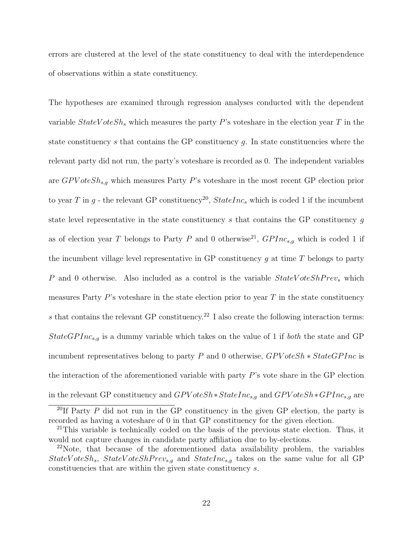errors are clustered at the level of the state constituency to deal with the interdependence of observations within a state constituency.

The hypotheses are examined through regression analyses conducted with the dependent variable  $StateVoteSh<sub>s</sub>$  which measures the party P's voteshare in the election year T in the state constituency s that contains the GP constituency  $g$ . In state constituencies where the relevant party did not run, the party's voteshare is recorded as 0. The independent variables are  $GPVoteSh_{s,g}$  which measures Party P's voteshare in the most recent GP election prior to year T in g - the relevant GP constituency<sup>20</sup>,  $StateInc_s$  which is coded 1 if the incumbent state level representative in the state constituency s that contains the GP constituency g as of election year T belongs to Party P and 0 otherwise<sup>21</sup>,  $GPInc_{s,g}$  which is coded 1 if the incumbent village level representative in GP constituency q at time  $T$  belongs to party P and 0 otherwise. Also included as a control is the variable  $StateVoteShPrev<sub>s</sub>$  which measures Party  $P$ 's voteshare in the state election prior to year  $T$  in the state constituency s that contains the relevant GP constituency.<sup>22</sup> I also create the following interaction terms:  $StateGPInc_{s,q}$  is a dummy variable which takes on the value of 1 if *both* the state and GP incumbent representatives belong to party P and 0 otherwise,  $GPVoteSh * StateGPInc$  is the interaction of the aforementioned variable with party P's vote share in the GP election in the relevant GP constituency and  $GPVoteSh*StateInc<sub>s,g</sub>$  and  $GPVoteSh*GPInc<sub>s,g</sub>$  are

<sup>&</sup>lt;sup>20</sup>If Party  $P$  did not run in the GP constituency in the given GP election, the party is recorded as having a voteshare of 0 in that GP constituency for the given election.

 $21$ This variable is technically coded on the basis of the previous state election. Thus, it would not capture changes in candidate party affiliation due to by-elections.

 $22$ Note, that because of the aforementioned data availability problem, the variables  $StateV oteSh<sub>s</sub>, StateV oteShPrev<sub>s,g</sub>$  and  $StateInc<sub>s,g</sub>$  takes on the same value for all GP constituencies that are within the given state constituency s.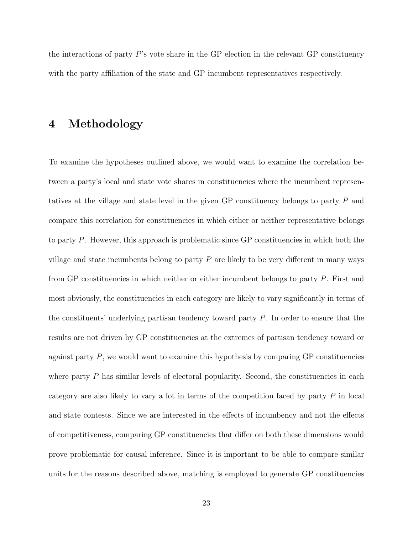the interactions of party P's vote share in the GP election in the relevant GP constituency with the party affiliation of the state and GP incumbent representatives respectively.

### 4 Methodology

To examine the hypotheses outlined above, we would want to examine the correlation between a party's local and state vote shares in constituencies where the incumbent representatives at the village and state level in the given GP constituency belongs to party P and compare this correlation for constituencies in which either or neither representative belongs to party P. However, this approach is problematic since GP constituencies in which both the village and state incumbents belong to party  $P$  are likely to be very different in many ways from GP constituencies in which neither or either incumbent belongs to party P. First and most obviously, the constituencies in each category are likely to vary significantly in terms of the constituents' underlying partisan tendency toward party  $P$ . In order to ensure that the results are not driven by GP constituencies at the extremes of partisan tendency toward or against party  $P$ , we would want to examine this hypothesis by comparing  $\overline{GP}$  constituencies where party  $P$  has similar levels of electoral popularity. Second, the constituencies in each category are also likely to vary a lot in terms of the competition faced by party  $P$  in local and state contests. Since we are interested in the effects of incumbency and not the effects of competitiveness, comparing GP constituencies that differ on both these dimensions would prove problematic for causal inference. Since it is important to be able to compare similar units for the reasons described above, matching is employed to generate GP constituencies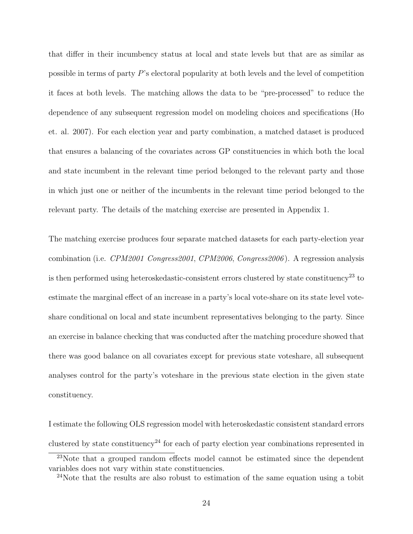that differ in their incumbency status at local and state levels but that are as similar as possible in terms of party P's electoral popularity at both levels and the level of competition it faces at both levels. The matching allows the data to be "pre-processed" to reduce the dependence of any subsequent regression model on modeling choices and specifications (Ho et. al. 2007). For each election year and party combination, a matched dataset is produced that ensures a balancing of the covariates across GP constituencies in which both the local and state incumbent in the relevant time period belonged to the relevant party and those in which just one or neither of the incumbents in the relevant time period belonged to the relevant party. The details of the matching exercise are presented in Appendix 1.

The matching exercise produces four separate matched datasets for each party-election year combination (i.e. CPM2001 Congress2001, CPM2006, Congress2006 ). A regression analysis is then performed using heteroskedastic-consistent errors clustered by state constituency<sup>23</sup> to estimate the marginal effect of an increase in a party's local vote-share on its state level voteshare conditional on local and state incumbent representatives belonging to the party. Since an exercise in balance checking that was conducted after the matching procedure showed that there was good balance on all covariates except for previous state voteshare, all subsequent analyses control for the party's voteshare in the previous state election in the given state constituency.

I estimate the following OLS regression model with heteroskedastic consistent standard errors clustered by state constituency<sup>24</sup> for each of party election year combinations represented in

 $^{23}$ Note that a grouped random effects model cannot be estimated since the dependent variables does not vary within state constituencies.

 $24$ Note that the results are also robust to estimation of the same equation using a tobit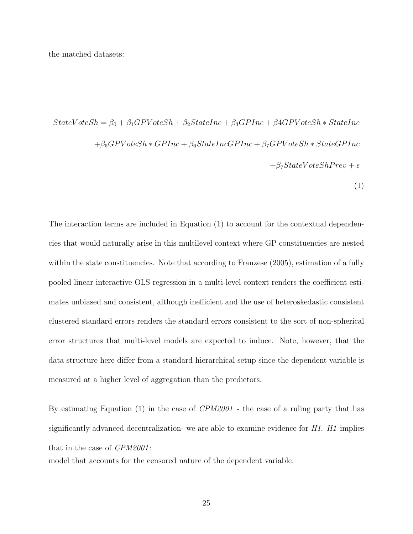the matched datasets:

 $StateVoteSh = \beta_0 + \beta_1 GPUoteSh + \beta_2 StateInc + \beta_3 GPLInc + \beta 4 GPUoteSh * StateInc$  $+\beta_5GPV$  oteSh  $*GPInc + \beta_6StateIncGPInc + \beta_7GPV$  oteSh  $*StateGPInc$  $+\beta_7 State VoteSh Prev + \epsilon$ (1)

The interaction terms are included in Equation (1) to account for the contextual dependencies that would naturally arise in this multilevel context where GP constituencies are nested within the state constituencies. Note that according to Franzese  $(2005)$ , estimation of a fully pooled linear interactive OLS regression in a multi-level context renders the coefficient estimates unbiased and consistent, although inefficient and the use of heteroskedastic consistent clustered standard errors renders the standard errors consistent to the sort of non-spherical error structures that multi-level models are expected to induce. Note, however, that the data structure here differ from a standard hierarchical setup since the dependent variable is measured at a higher level of aggregation than the predictors.

By estimating Equation (1) in the case of  $CPM2001$  - the case of a ruling party that has significantly advanced decentralization- we are able to examine evidence for  $H1$ .  $H1$  implies that in the case of *CPM2001*:

model that accounts for the censored nature of the dependent variable.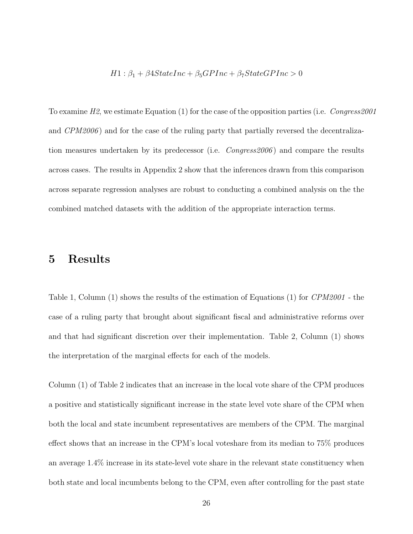#### $H1: \beta_1 + \beta 4StateInc + \beta_5 GPInc + \beta_7 State GPInc > 0$

To examine  $H2$ , we estimate Equation (1) for the case of the opposition parties (i.e. Congress2001 and  $CPM2006$  and for the case of the ruling party that partially reversed the decentralization measures undertaken by its predecessor (i.e.  $Conqress2006$ ) and compare the results across cases. The results in Appendix 2 show that the inferences drawn from this comparison across separate regression analyses are robust to conducting a combined analysis on the the combined matched datasets with the addition of the appropriate interaction terms.

### 5 Results

Table 1, Column (1) shows the results of the estimation of Equations (1) for CPM2001 - the case of a ruling party that brought about significant fiscal and administrative reforms over and that had significant discretion over their implementation. Table 2, Column (1) shows the interpretation of the marginal effects for each of the models.

Column (1) of Table 2 indicates that an increase in the local vote share of the CPM produces a positive and statistically significant increase in the state level vote share of the CPM when both the local and state incumbent representatives are members of the CPM. The marginal effect shows that an increase in the CPM's local voteshare from its median to 75% produces an average 1.4% increase in its state-level vote share in the relevant state constituency when both state and local incumbents belong to the CPM, even after controlling for the past state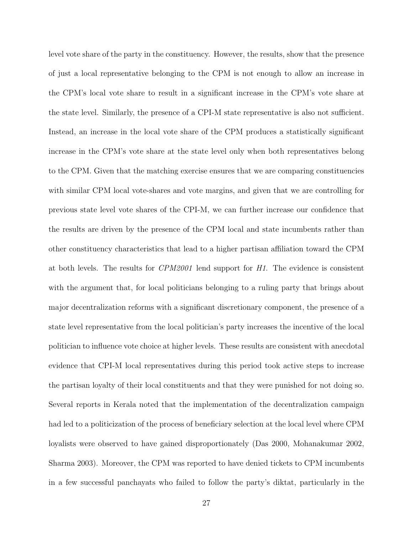level vote share of the party in the constituency. However, the results, show that the presence of just a local representative belonging to the CPM is not enough to allow an increase in the CPM's local vote share to result in a significant increase in the CPM's vote share at the state level. Similarly, the presence of a CPI-M state representative is also not sufficient. Instead, an increase in the local vote share of the CPM produces a statistically significant increase in the CPM's vote share at the state level only when both representatives belong to the CPM. Given that the matching exercise ensures that we are comparing constituencies with similar CPM local vote-shares and vote margins, and given that we are controlling for previous state level vote shares of the CPI-M, we can further increase our confidence that the results are driven by the presence of the CPM local and state incumbents rather than other constituency characteristics that lead to a higher partisan affiliation toward the CPM at both levels. The results for CPM2001 lend support for H1. The evidence is consistent with the argument that, for local politicians belonging to a ruling party that brings about major decentralization reforms with a significant discretionary component, the presence of a state level representative from the local politician's party increases the incentive of the local politician to influence vote choice at higher levels. These results are consistent with anecdotal evidence that CPI-M local representatives during this period took active steps to increase the partisan loyalty of their local constituents and that they were punished for not doing so. Several reports in Kerala noted that the implementation of the decentralization campaign had led to a politicization of the process of beneficiary selection at the local level where CPM loyalists were observed to have gained disproportionately (Das 2000, Mohanakumar 2002, Sharma 2003). Moreover, the CPM was reported to have denied tickets to CPM incumbents in a few successful panchayats who failed to follow the party's diktat, particularly in the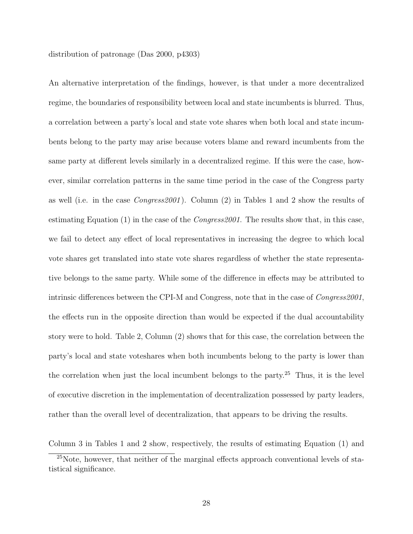distribution of patronage (Das 2000, p4303)

An alternative interpretation of the findings, however, is that under a more decentralized regime, the boundaries of responsibility between local and state incumbents is blurred. Thus, a correlation between a party's local and state vote shares when both local and state incumbents belong to the party may arise because voters blame and reward incumbents from the same party at different levels similarly in a decentralized regime. If this were the case, however, similar correlation patterns in the same time period in the case of the Congress party as well (i.e. in the case Congress2001 ). Column (2) in Tables 1 and 2 show the results of estimating Equation  $(1)$  in the case of the *Congress2001*. The results show that, in this case, we fail to detect any effect of local representatives in increasing the degree to which local vote shares get translated into state vote shares regardless of whether the state representative belongs to the same party. While some of the difference in effects may be attributed to intrinsic differences between the CPI-M and Congress, note that in the case of Congress2001, the effects run in the opposite direction than would be expected if the dual accountability story were to hold. Table 2, Column (2) shows that for this case, the correlation between the party's local and state voteshares when both incumbents belong to the party is lower than the correlation when just the local incumbent belongs to the party.<sup>25</sup> Thus, it is the level of executive discretion in the implementation of decentralization possessed by party leaders, rather than the overall level of decentralization, that appears to be driving the results.

Column 3 in Tables 1 and 2 show, respectively, the results of estimating Equation (1) and

<sup>25</sup>Note, however, that neither of the marginal effects approach conventional levels of statistical significance.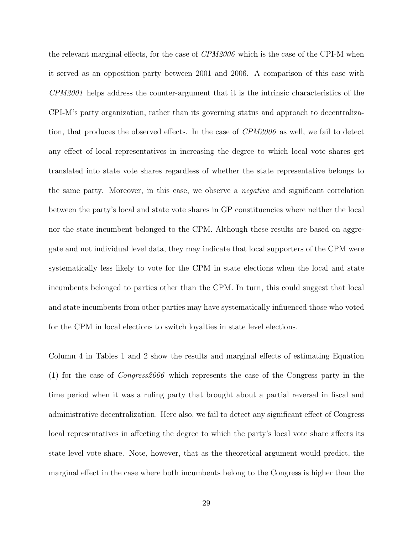the relevant marginal effects, for the case of CPM2006 which is the case of the CPI-M when it served as an opposition party between 2001 and 2006. A comparison of this case with CPM2001 helps address the counter-argument that it is the intrinsic characteristics of the CPI-M's party organization, rather than its governing status and approach to decentralization, that produces the observed effects. In the case of CPM2006 as well, we fail to detect any effect of local representatives in increasing the degree to which local vote shares get translated into state vote shares regardless of whether the state representative belongs to the same party. Moreover, in this case, we observe a negative and significant correlation between the party's local and state vote shares in GP constituencies where neither the local nor the state incumbent belonged to the CPM. Although these results are based on aggregate and not individual level data, they may indicate that local supporters of the CPM were systematically less likely to vote for the CPM in state elections when the local and state incumbents belonged to parties other than the CPM. In turn, this could suggest that local and state incumbents from other parties may have systematically influenced those who voted for the CPM in local elections to switch loyalties in state level elections.

Column 4 in Tables 1 and 2 show the results and marginal effects of estimating Equation (1) for the case of Congress2006 which represents the case of the Congress party in the time period when it was a ruling party that brought about a partial reversal in fiscal and administrative decentralization. Here also, we fail to detect any significant effect of Congress local representatives in affecting the degree to which the party's local vote share affects its state level vote share. Note, however, that as the theoretical argument would predict, the marginal effect in the case where both incumbents belong to the Congress is higher than the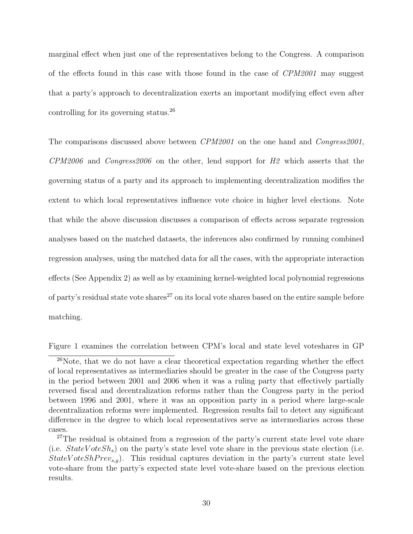marginal effect when just one of the representatives belong to the Congress. A comparison of the effects found in this case with those found in the case of CPM2001 may suggest that a party's approach to decentralization exerts an important modifying effect even after controlling for its governing status.<sup>26</sup>

The comparisons discussed above between CPM2001 on the one hand and Congress2001,  $CPM2006$  and  $Congress2006$  on the other, lend support for  $H2$  which asserts that the governing status of a party and its approach to implementing decentralization modifies the extent to which local representatives influence vote choice in higher level elections. Note that while the above discussion discusses a comparison of effects across separate regression analyses based on the matched datasets, the inferences also confirmed by running combined regression analyses, using the matched data for all the cases, with the appropriate interaction effects (See Appendix 2) as well as by examining kernel-weighted local polynomial regressions of party's residual state vote shares<sup>27</sup> on its local vote shares based on the entire sample before matching.

Figure 1 examines the correlation between CPM's local and state level voteshares in GP

<sup>26</sup>Note, that we do not have a clear theoretical expectation regarding whether the effect of local representatives as intermediaries should be greater in the case of the Congress party in the period between 2001 and 2006 when it was a ruling party that effectively partially reversed fiscal and decentralization reforms rather than the Congress party in the period between 1996 and 2001, where it was an opposition party in a period where large-scale decentralization reforms were implemented. Regression results fail to detect any significant difference in the degree to which local representatives serve as intermediaries across these cases.

<sup>&</sup>lt;sup>27</sup>The residual is obtained from a regression of the party's current state level vote share (i.e.  $StateVoteSh<sub>s</sub>$ ) on the party's state level vote share in the previous state election (i.e.  $StateVoteShPrev_{s,q}$ . This residual captures deviation in the party's current state level vote-share from the party's expected state level vote-share based on the previous election results.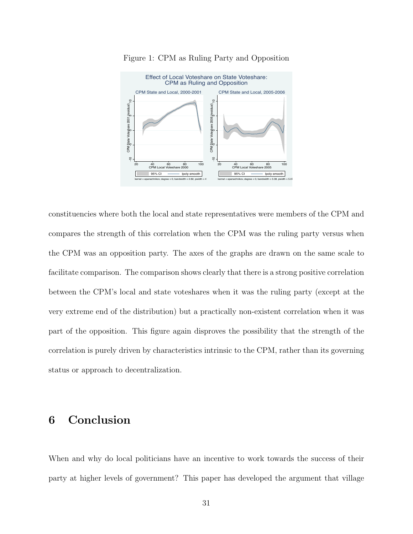



constituencies where both the local and state representatives were members of the CPM and compares the strength of this correlation when the CPM was the ruling party versus when the CPM was an opposition party. The axes of the graphs are drawn on the same scale to facilitate comparison. The comparison shows clearly that there is a strong positive correlation between the CPM's local and state voteshares when it was the ruling party (except at the very extreme end of the distribution) but a practically non-existent correlation when it was part of the opposition. This figure again disproves the possibility that the strength of the correlation is purely driven by characteristics intrinsic to the CPM, rather than its governing status or approach to decentralization.

### 6 Conclusion

When and why do local politicians have an incentive to work towards the success of their party at higher levels of government? This paper has developed the argument that village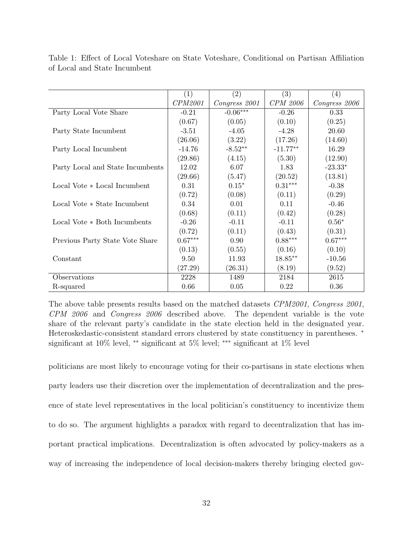|                                  | (1)       | (2)           | (3)             | $\left( 4\right)$ |
|----------------------------------|-----------|---------------|-----------------|-------------------|
|                                  | CPM2001   | Congress 2001 | <b>CPM</b> 2006 | Congress 2006     |
| Party Local Vote Share           | $-0.21$   | $-0.06***$    | $-0.26$         | 0.33              |
|                                  | (0.67)    | (0.05)        | (0.10)          | (0.25)            |
| Party State Incumbent            | $-3.51$   | $-4.05$       | $-4.28$         | 20.60             |
|                                  | (26.06)   | (3.22)        | (17.26)         | (14.60)           |
| Party Local Incumbent            | $-14.76$  | $-8.52**$     | $-11.77**$      | 16.29             |
|                                  | (29.86)   | (4.15)        | (5.30)          | (12.90)           |
| Party Local and State Incumbents | 12.02     | 6.07          | 1.83            | $-23.33*$         |
|                                  | (29.66)   | (5.47)        | (20.52)         | (13.81)           |
| Local Vote * Local Incumbent     | 0.31      | $0.15*$       | $0.31***$       | $-0.38$           |
|                                  | (0.72)    | (0.08)        | (0.11)          | (0.29)            |
| Local Vote * State Incumbent     | 0.34      | 0.01          | 0.11            | $-0.46$           |
|                                  | (0.68)    | (0.11)        | (0.42)          | (0.28)            |
| Local Vote * Both Incumbents     | $-0.26$   | $-0.11$       | $-0.11$         | $0.56*$           |
|                                  | (0.72)    | (0.11)        | (0.43)          | (0.31)            |
| Previous Party State Vote Share  | $0.67***$ | 0.90          | $0.88***$       | $0.67***$         |
|                                  | (0.13)    | (0.55)        | (0.16)          | (0.10)            |
| Constant                         | 9.50      | 11.93         | 18.85**         | $-10.56$          |
|                                  | (27.29)   | (26.31)       | (8.19)          | (9.52)            |
| Observations                     | 2228      | 1489          | 2184            | 2615              |
| R-squared                        | 0.66      | 0.05          | 0.22            | 0.36              |

Table 1: Effect of Local Voteshare on State Voteshare, Conditional on Partisan Affiliation of Local and State Incumbent

The above table presents results based on the matched datasets CPM2001, Congress 2001, CPM 2006 and Congress 2006 described above. The dependent variable is the vote share of the relevant party's candidate in the state election held in the designated year. Heteroskedastic-consistent standard errors clustered by state constituency in parentheses. <sup>\*</sup> significant at 10% level, ∗∗ significant at 5% level; ∗∗∗ significant at 1% level

politicians are most likely to encourage voting for their co-partisans in state elections when party leaders use their discretion over the implementation of decentralization and the presence of state level representatives in the local politician's constituency to incentivize them to do so. The argument highlights a paradox with regard to decentralization that has important practical implications. Decentralization is often advocated by policy-makers as a way of increasing the independence of local decision-makers thereby bringing elected gov-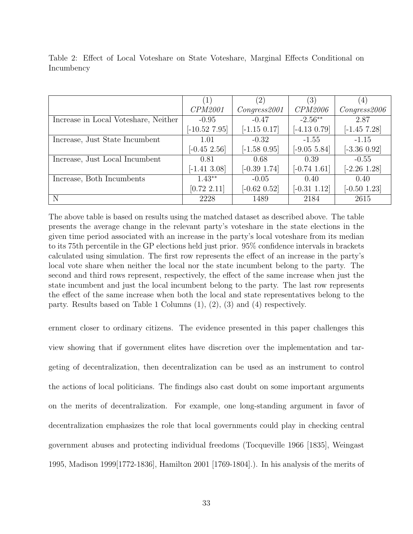|                                      | (1)             | $\left( 2\right)$ | (3)               | (4)            |
|--------------------------------------|-----------------|-------------------|-------------------|----------------|
|                                      | CPM2001         | Congress 2001     | CPM2006           | Congress 2006  |
| Increase in Local Voteshare, Neither | $-0.95$         | $-0.47$           | $-2.56**$         | 2.87           |
|                                      | $[-10.52 7.95]$ | $[-1.15 0.17]$    | $[-4.13 \; 0.79]$ | $[-1.45 7.28]$ |
| Increase, Just State Incumbent       | 1.01            | $-0.32$           | $-1.55$           | $-1.15$        |
|                                      | $[-0.45, 2.56]$ | $[-1.58 0.95]$    | $[-9.05, 5.84]$   | $[-3.36 0.92]$ |
| Increase, Just Local Incumbent       | 0.81            | 0.68              | 0.39              | $-0.55$        |
|                                      | $[-1.41, 3.08]$ | $[-0.39 1.74]$    | $[-0.74 \; 1.61]$ | $[-2.26 1.28]$ |
| Increase, Both Incumbents            | $1.43**$        | $-0.05$           | 0.40              | 0.40           |
|                                      | [0.72 2.11]     | $[-0.62 \; 0.52]$ | $[-0.31 1.12]$    | $[-0.50 1.23]$ |
| N                                    | 2228            | 1489              | 2184              | 2615           |

Table 2: Effect of Local Voteshare on State Voteshare, Marginal Effects Conditional on Incumbency

The above table is based on results using the matched dataset as described above. The table presents the average change in the relevant party's voteshare in the state elections in the given time period associated with an increase in the party's local voteshare from its median to its 75th percentile in the GP elections held just prior. 95% confidence intervals in brackets calculated using simulation. The first row represents the effect of an increase in the party's local vote share when neither the local nor the state incumbent belong to the party. The second and third rows represent, respectively, the effect of the same increase when just the state incumbent and just the local incumbent belong to the party. The last row represents the effect of the same increase when both the local and state representatives belong to the party. Results based on Table 1 Columns (1), (2), (3) and (4) respectively.

ernment closer to ordinary citizens. The evidence presented in this paper challenges this view showing that if government elites have discretion over the implementation and targeting of decentralization, then decentralization can be used as an instrument to control the actions of local politicians. The findings also cast doubt on some important arguments on the merits of decentralization. For example, one long-standing argument in favor of decentralization emphasizes the role that local governments could play in checking central government abuses and protecting individual freedoms (Tocqueville 1966 [1835], Weingast 1995, Madison 1999[1772-1836], Hamilton 2001 [1769-1804].). In his analysis of the merits of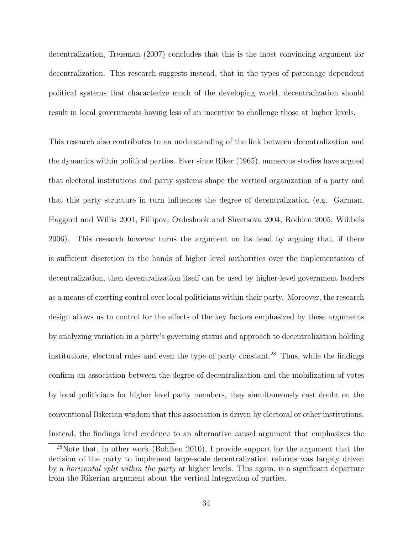decentralization, Treisman (2007) concludes that this is the most convincing argument for decentralization. This research suggests instead, that in the types of patronage dependent political systems that characterize much of the developing world, decentralization should result in local governments having less of an incentive to challenge those at higher levels.

This research also contributes to an understanding of the link between decentralization and the dynamics within political parties. Ever since Riker (1965), numerous studies have argued that electoral institutions and party systems shape the vertical organization of a party and that this party structure in turn influences the degree of decentralization (e.g. Garman, Haggard and Willis 2001, Fillipov, Ordeshook and Shvetsova 2004, Rodden 2005, Wibbels 2006). This research however turns the argument on its head by arguing that, if there is sufficient discretion in the hands of higher level authorities over the implementation of decentralization, then decentralization itself can be used by higher-level government leaders as a means of exerting control over local politicians within their party. Moreover, the research design allows us to control for the effects of the key factors emphasized by these arguments by analyzing variation in a party's governing status and approach to decentralization holding institutions, electoral rules and even the type of party constant.<sup>28</sup> Thus, while the findings confirm an association between the degree of decentralization and the mobilization of votes by local politicians for higher level party members, they simultaneously cast doubt on the conventional Rikerian wisdom that this association is driven by electoral or other institutions. Instead, the findings lend credence to an alternative causal argument that emphasizes the

<sup>28</sup>Note that, in other work (Bohlken 2010), I provide support for the argument that the decision of the party to implement large-scale decentralization reforms was largely driven by a horizontal split within the party at higher levels. This again, is a significant departure from the Rikerian argument about the vertical integration of parties.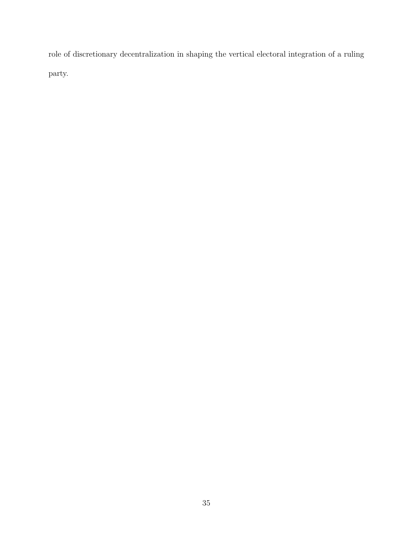role of discretionary decentralization in shaping the vertical electoral integration of a ruling party.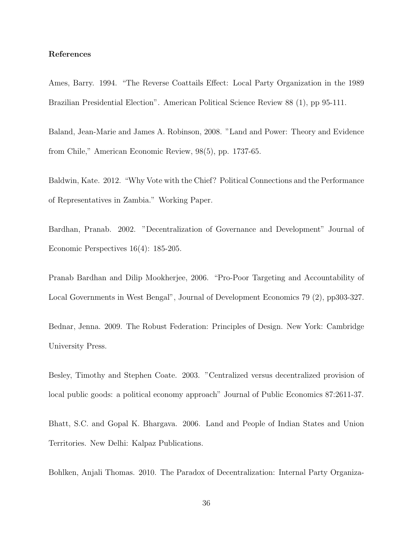#### References

Ames, Barry. 1994. "The Reverse Coattails Effect: Local Party Organization in the 1989 Brazilian Presidential Election". American Political Science Review 88 (1), pp 95-111.

Baland, Jean-Marie and James A. Robinson, 2008. "Land and Power: Theory and Evidence from Chile," American Economic Review, 98(5), pp. 1737-65.

Baldwin, Kate. 2012. "Why Vote with the Chief? Political Connections and the Performance of Representatives in Zambia." Working Paper.

Bardhan, Pranab. 2002. "Decentralization of Governance and Development" Journal of Economic Perspectives 16(4): 185-205.

Pranab Bardhan and Dilip Mookherjee, 2006. "Pro-Poor Targeting and Accountability of Local Governments in West Bengal", Journal of Development Economics 79 (2), pp303-327.

Bednar, Jenna. 2009. The Robust Federation: Principles of Design. New York: Cambridge University Press.

Besley, Timothy and Stephen Coate. 2003. "Centralized versus decentralized provision of local public goods: a political economy approach" Journal of Public Economics 87:2611-37.

Bhatt, S.C. and Gopal K. Bhargava. 2006. Land and People of Indian States and Union Territories. New Delhi: Kalpaz Publications.

Bohlken, Anjali Thomas. 2010. The Paradox of Decentralization: Internal Party Organiza-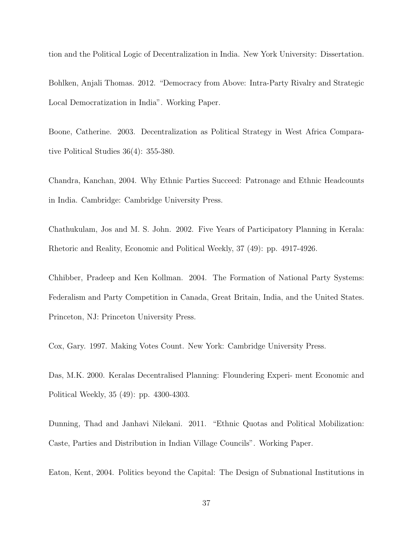tion and the Political Logic of Decentralization in India. New York University: Dissertation.

Bohlken, Anjali Thomas. 2012. "Democracy from Above: Intra-Party Rivalry and Strategic Local Democratization in India". Working Paper.

Boone, Catherine. 2003. Decentralization as Political Strategy in West Africa Comparative Political Studies 36(4): 355-380.

Chandra, Kanchan, 2004. Why Ethnic Parties Succeed: Patronage and Ethnic Headcounts in India. Cambridge: Cambridge University Press.

Chathukulam, Jos and M. S. John. 2002. Five Years of Participatory Planning in Kerala: Rhetoric and Reality, Economic and Political Weekly, 37 (49): pp. 4917-4926.

Chhibber, Pradeep and Ken Kollman. 2004. The Formation of National Party Systems: Federalism and Party Competition in Canada, Great Britain, India, and the United States. Princeton, NJ: Princeton University Press.

Cox, Gary. 1997. Making Votes Count. New York: Cambridge University Press.

Das, M.K. 2000. Keralas Decentralised Planning: Floundering Experi- ment Economic and Political Weekly, 35 (49): pp. 4300-4303.

Dunning, Thad and Janhavi Nilekani. 2011. "Ethnic Quotas and Political Mobilization: Caste, Parties and Distribution in Indian Village Councils". Working Paper.

Eaton, Kent, 2004. Politics beyond the Capital: The Design of Subnational Institutions in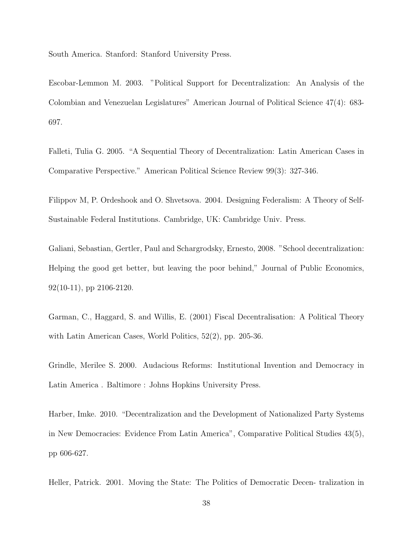South America. Stanford: Stanford University Press.

Escobar-Lemmon M. 2003. "Political Support for Decentralization: An Analysis of the Colombian and Venezuelan Legislatures" American Journal of Political Science 47(4): 683- 697.

Falleti, Tulia G. 2005. "A Sequential Theory of Decentralization: Latin American Cases in Comparative Perspective." American Political Science Review 99(3): 327-346.

Filippov M, P. Ordeshook and O. Shvetsova. 2004. Designing Federalism: A Theory of Self-Sustainable Federal Institutions. Cambridge, UK: Cambridge Univ. Press.

Galiani, Sebastian, Gertler, Paul and Schargrodsky, Ernesto, 2008. "School decentralization: Helping the good get better, but leaving the poor behind," Journal of Public Economics, 92(10-11), pp 2106-2120.

Garman, C., Haggard, S. and Willis, E. (2001) Fiscal Decentralisation: A Political Theory with Latin American Cases, World Politics, 52(2), pp. 205-36.

Grindle, Merilee S. 2000. Audacious Reforms: Institutional Invention and Democracy in Latin America . Baltimore : Johns Hopkins University Press.

Harber, Imke. 2010. "Decentralization and the Development of Nationalized Party Systems in New Democracies: Evidence From Latin America", Comparative Political Studies 43(5), pp 606-627.

Heller, Patrick. 2001. Moving the State: The Politics of Democratic Decen- tralization in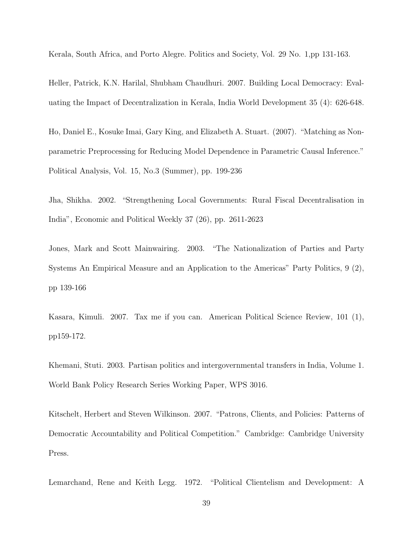Kerala, South Africa, and Porto Alegre. Politics and Society, Vol. 29 No. 1,pp 131-163.

Heller, Patrick, K.N. Harilal, Shubham Chaudhuri. 2007. Building Local Democracy: Evaluating the Impact of Decentralization in Kerala, India World Development 35 (4): 626-648.

Ho, Daniel E., Kosuke Imai, Gary King, and Elizabeth A. Stuart. (2007). "Matching as Nonparametric Preprocessing for Reducing Model Dependence in Parametric Causal Inference." Political Analysis, Vol. 15, No.3 (Summer), pp. 199-236

Jha, Shikha. 2002. "Strengthening Local Governments: Rural Fiscal Decentralisation in India", Economic and Political Weekly 37 (26), pp. 2611-2623

Jones, Mark and Scott Mainwairing. 2003. "The Nationalization of Parties and Party Systems An Empirical Measure and an Application to the Americas" Party Politics, 9 (2), pp 139-166

Kasara, Kimuli. 2007. Tax me if you can. American Political Science Review, 101 (1), pp159-172.

Khemani, Stuti. 2003. Partisan politics and intergovernmental transfers in India, Volume 1. World Bank Policy Research Series Working Paper, WPS 3016.

Kitschelt, Herbert and Steven Wilkinson. 2007. "Patrons, Clients, and Policies: Patterns of Democratic Accountability and Political Competition." Cambridge: Cambridge University Press.

Lemarchand, Rene and Keith Legg. 1972. "Political Clientelism and Development: A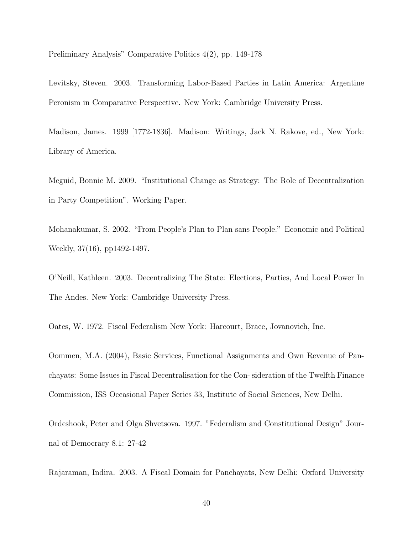Preliminary Analysis" Comparative Politics 4(2), pp. 149-178

Levitsky, Steven. 2003. Transforming Labor-Based Parties in Latin America: Argentine Peronism in Comparative Perspective. New York: Cambridge University Press.

Madison, James. 1999 [1772-1836]. Madison: Writings, Jack N. Rakove, ed., New York: Library of America.

Meguid, Bonnie M. 2009. "Institutional Change as Strategy: The Role of Decentralization in Party Competition". Working Paper.

Mohanakumar, S. 2002. "From People's Plan to Plan sans People." Economic and Political Weekly, 37(16), pp1492-1497.

O'Neill, Kathleen. 2003. Decentralizing The State: Elections, Parties, And Local Power In The Andes. New York: Cambridge University Press.

Oates, W. 1972. Fiscal Federalism New York: Harcourt, Brace, Jovanovich, Inc.

Oommen, M.A. (2004), Basic Services, Functional Assignments and Own Revenue of Panchayats: Some Issues in Fiscal Decentralisation for the Con- sideration of the Twelfth Finance Commission, ISS Occasional Paper Series 33, Institute of Social Sciences, New Delhi.

Ordeshook, Peter and Olga Shvetsova. 1997. "Federalism and Constitutional Design" Journal of Democracy 8.1: 27-42

Rajaraman, Indira. 2003. A Fiscal Domain for Panchayats, New Delhi: Oxford University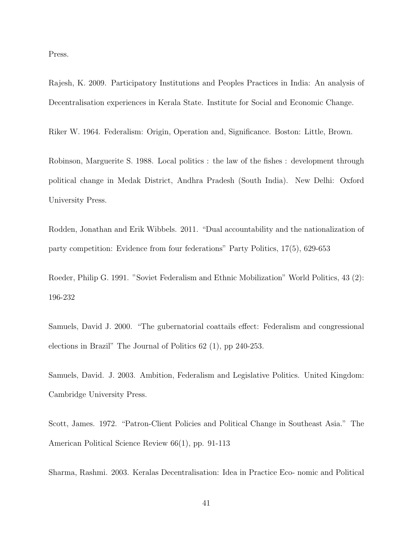Press.

Rajesh, K. 2009. Participatory Institutions and Peoples Practices in India: An analysis of Decentralisation experiences in Kerala State. Institute for Social and Economic Change.

Riker W. 1964. Federalism: Origin, Operation and, Significance. Boston: Little, Brown.

Robinson, Marguerite S. 1988. Local politics : the law of the fishes : development through political change in Medak District, Andhra Pradesh (South India). New Delhi: Oxford University Press.

Rodden, Jonathan and Erik Wibbels. 2011. "Dual accountability and the nationalization of party competition: Evidence from four federations" Party Politics, 17(5), 629-653

Roeder, Philip G. 1991. "Soviet Federalism and Ethnic Mobilization" World Politics, 43 (2): 196-232

Samuels, David J. 2000. "The gubernatorial coattails effect: Federalism and congressional elections in Brazil" The Journal of Politics 62 (1), pp 240-253.

Samuels, David. J. 2003. Ambition, Federalism and Legislative Politics. United Kingdom: Cambridge University Press.

Scott, James. 1972. "Patron-Client Policies and Political Change in Southeast Asia." The American Political Science Review 66(1), pp. 91-113

Sharma, Rashmi. 2003. Keralas Decentralisation: Idea in Practice Eco- nomic and Political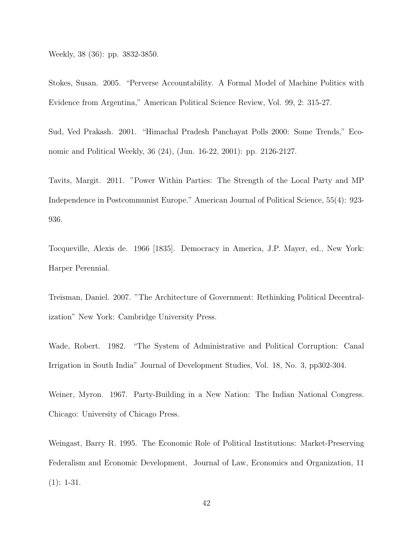Weekly, 38 (36): pp. 3832-3850.

Stokes, Susan. 2005. "Perverse Accountability. A Formal Model of Machine Politics with Evidence from Argentina," American Political Science Review, Vol. 99, 2: 315-27.

Sud, Ved Prakash. 2001. "Himachal Pradesh Panchayat Polls 2000: Some Trends," Economic and Political Weekly, 36 (24), (Jun. 16-22, 2001): pp. 2126-2127.

Tavits, Margit. 2011. "Power Within Parties: The Strength of the Local Party and MP Independence in Postcommunist Europe." American Journal of Political Science, 55(4): 923- 936.

Tocqueville, Alexis de. 1966 [1835]. Democracy in America, J.P. Mayer, ed., New York: Harper Perennial.

Treisman, Daniel. 2007. "The Architecture of Government: Rethinking Political Decentralization" New York: Cambridge University Press.

Wade, Robert. 1982. "The System of Administrative and Political Corruption: Canal Irrigation in South India" Journal of Development Studies, Vol. 18, No. 3, pp302-304.

Weiner, Myron. 1967. Party-Building in a New Nation: The Indian National Congress. Chicago: University of Chicago Press.

Weingast, Barry R. 1995. The Economic Role of Political Institutions: Market-Preserving Federalism and Economic Development, Journal of Law, Economics and Organization, 11  $(1): 1-31.$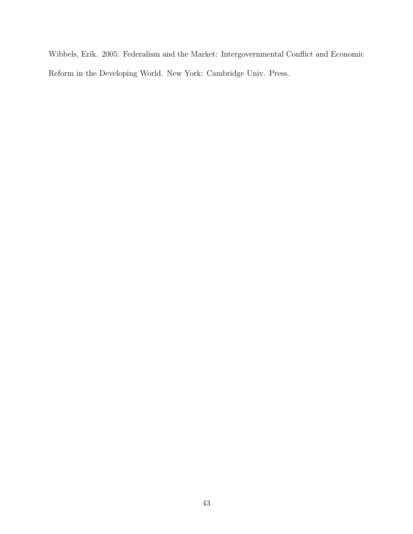Wibbels, Erik. 2005. Federalism and the Market: Intergovernmental Conflict and Economic Reform in the Developing World. New York: Cambridge Univ. Press.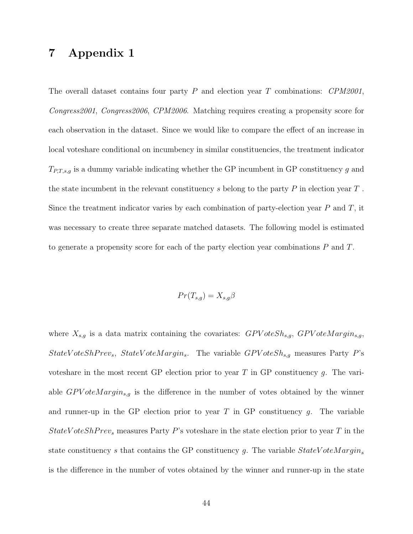### 7 Appendix 1

The overall dataset contains four party  $P$  and election year  $T$  combinations:  $CPM2001$ , Congress2001, Congress2006, CPM2006. Matching requires creating a propensity score for each observation in the dataset. Since we would like to compare the effect of an increase in local voteshare conditional on incumbency in similar constituencies, the treatment indicator  $T_{P,T,s,g}$  is a dummy variable indicating whether the GP incumbent in GP constituency  $g$  and the state incumbent in the relevant constituency s belong to the party  $P$  in election year  $T$ . Since the treatment indicator varies by each combination of party-election year  $P$  and  $T$ , it was necessary to create three separate matched datasets. The following model is estimated to generate a propensity score for each of the party election year combinations P and T.

$$
Pr(T_{s,g}) = X_{s,g}\beta
$$

where  $X_{s,g}$  is a data matrix containing the covariates:  $GPVoteSh_{s,g}$ ,  $GPVoteMargin_{s,g}$ , StateV oteSh  $Prev<sub>s</sub>$ , StateV oteM argin<sub>s</sub>. The variable  $GPV$  oteSh<sub>s,g</sub> measures Party P's voteshare in the most recent GP election prior to year T in GP constituency g. The variable  $GPVoteMargin_{s,q}$  is the difference in the number of votes obtained by the winner and runner-up in the GP election prior to year  $T$  in GP constituency  $g$ . The variable StateV oteShPrev<sub>s</sub> measures Party P's voteshare in the state election prior to year T in the state constituency s that contains the GP constituency g. The variable  $StateVoteMargin_s$ is the difference in the number of votes obtained by the winner and runner-up in the state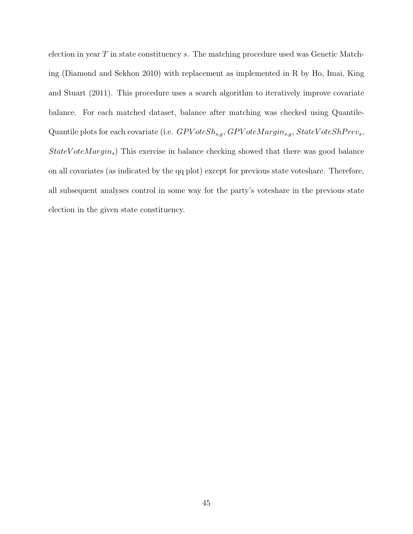election in year  $T$  in state constituency  $s$ . The matching procedure used was Genetic Matching (Diamond and Sekhon 2010) with replacement as implemented in R by Ho, Imai, King and Stuart (2011). This procedure uses a search algorithm to iteratively improve covariate balance. For each matched dataset, balance after matching was checked using Quantile-Quantile plots for each covariate (i.e.  $GPVoteSh_{s,q}$ ,  $GPVoteMargin_{s,q}$ ,  $StateVoteShPrev_s$ ,  $StateVoteMargin_s$ ) This exercise in balance checking showed that there was good balance on all covariates (as indicated by the qq plot) except for previous state voteshare. Therefore, all subsequent analyses control in some way for the party's voteshare in the previous state election in the given state constituency.